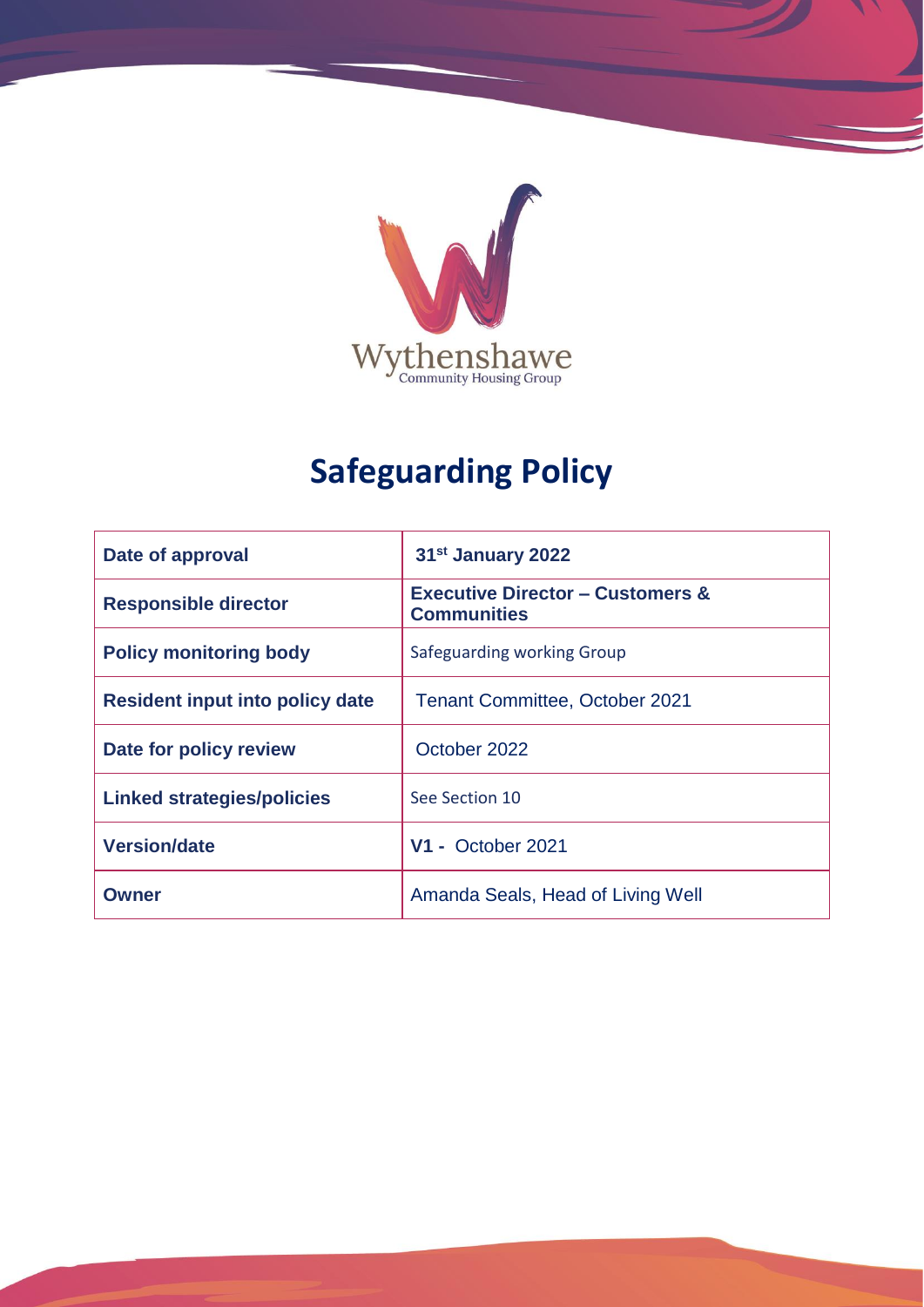

# **Safeguarding Policy**

| Date of approval                  | 31 <sup>st</sup> January 2022                                     |
|-----------------------------------|-------------------------------------------------------------------|
| <b>Responsible director</b>       | <b>Executive Director - Customers &amp;</b><br><b>Communities</b> |
| <b>Policy monitoring body</b>     | Safeguarding working Group                                        |
| Resident input into policy date   | <b>Tenant Committee, October 2021</b>                             |
| Date for policy review            | October 2022                                                      |
| <b>Linked strategies/policies</b> | See Section 10                                                    |
| <b>Version/date</b>               | <b>V1 - October 2021</b>                                          |
| Owner                             | Amanda Seals, Head of Living Well                                 |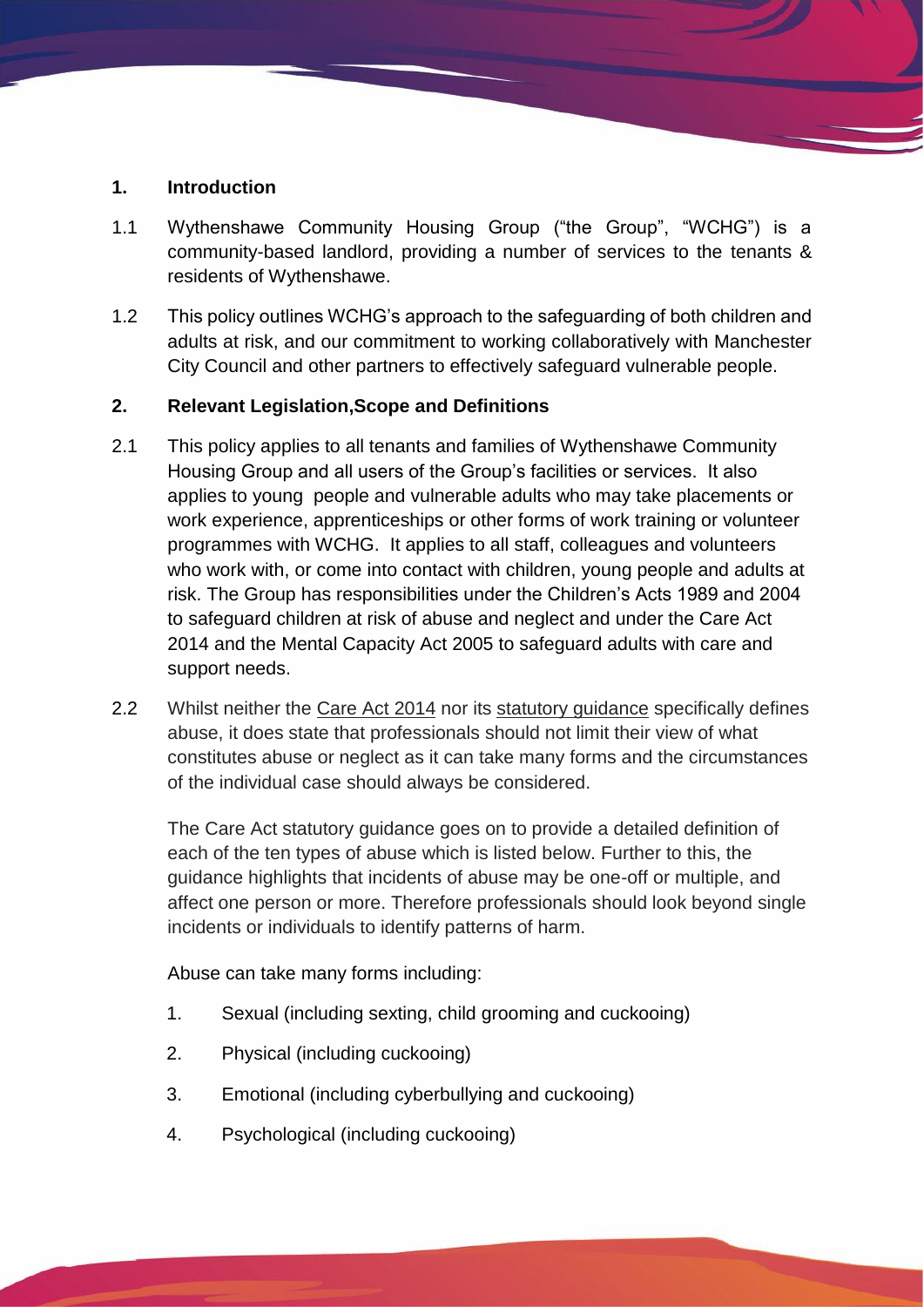#### **1. Introduction**

- 1.1 Wythenshawe Community Housing Group ("the Group", "WCHG") is a community-based landlord, providing a number of services to the tenants & residents of Wythenshawe.
- 1.2 This policy outlines WCHG's approach to the safeguarding of both children and adults at risk, and our commitment to working collaboratively with Manchester City Council and other partners to effectively safeguard vulnerable people.

## **2. Relevant Legislation,Scope and Definitions**

- 2.1 This policy applies to all tenants and families of Wythenshawe Community Housing Group and all users of the Group's facilities or services. It also applies to young people and vulnerable adults who may take placements or work experience, apprenticeships or other forms of work training or volunteer programmes with WCHG. It applies to all staff, colleagues and volunteers who work with, or come into contact with children, young people and adults at risk. The Group has responsibilities under the Children's Acts 1989 and 2004 to safeguard children at risk of abuse and neglect and under the Care Act 2014 and the Mental Capacity Act 2005 to safeguard adults with care and support needs.
- 2.2 Whilst neither the [Care Act 2014](http://www.legislation.gov.uk/ukpga/2014/23/contents/enacted) nor its [statutory guidance](https://www.gov.uk/government/publications/care-act-statutory-guidance/care-and-support-statutory-guidance) specifically defines abuse, it does state that professionals should not limit their view of what constitutes abuse or neglect as it can take many forms and the circumstances of the individual case should always be considered.

The Care Act statutory guidance goes on to provide a detailed definition of each of the ten types of abuse which is listed below. Further to this, the guidance highlights that incidents of abuse may be one-off or multiple, and affect one person or more. Therefore professionals should look beyond single incidents or individuals to identify patterns of harm.

Abuse can take many forms including:

- 1. Sexual (including sexting, child grooming and cuckooing)
- 2. Physical (including cuckooing)
- 3. Emotional (including cyberbullying and cuckooing)
- 4. Psychological (including cuckooing)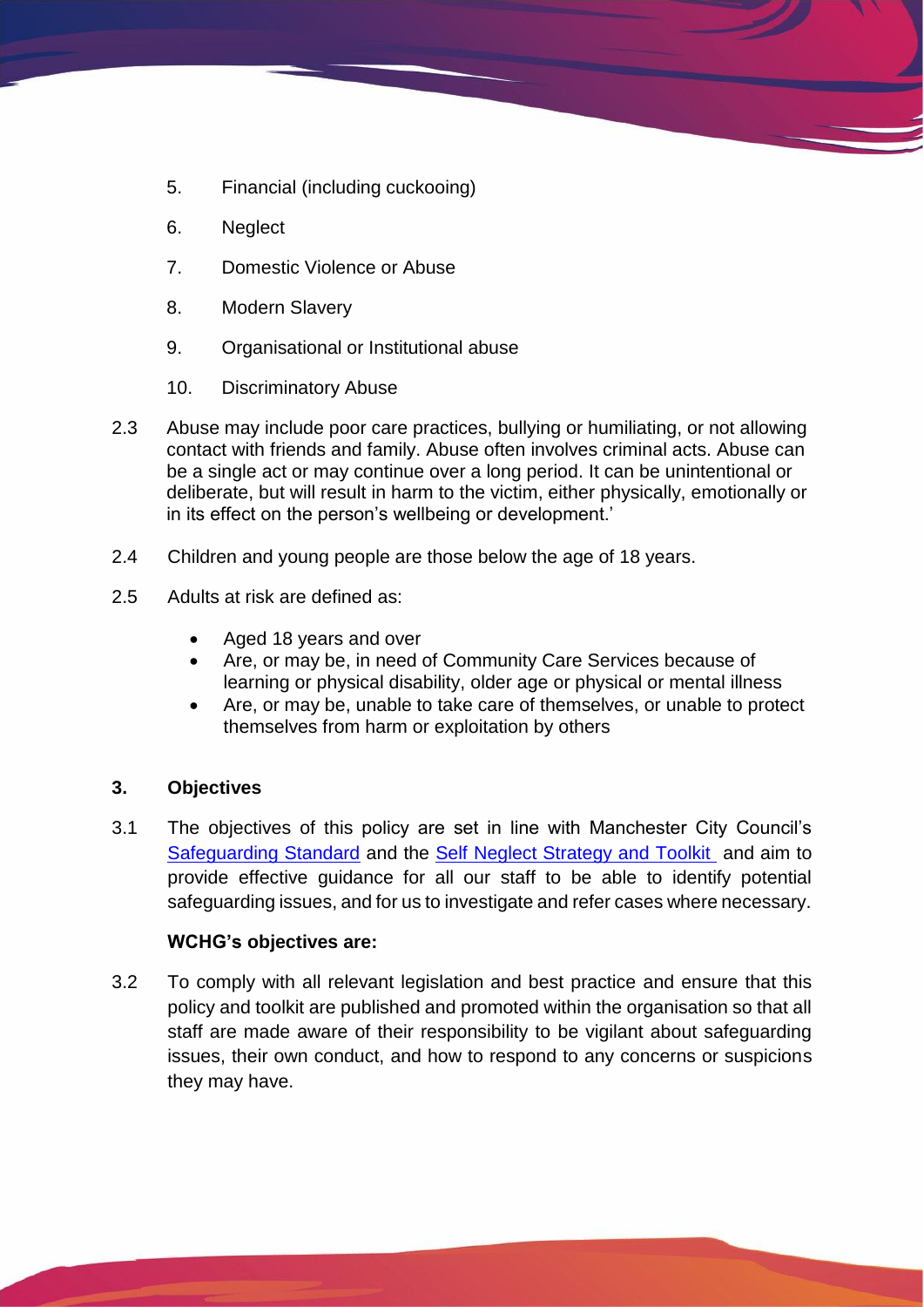- 5. Financial (including cuckooing)
- 6. Neglect
- 7. Domestic Violence or Abuse
- 8. Modern Slavery
- 9. Organisational or Institutional abuse
- 10. Discriminatory Abuse
- 2.3 Abuse may include poor care practices, bullying or humiliating, or not allowing contact with friends and family. Abuse often involves criminal acts. Abuse can be a single act or may continue over a long period. It can be unintentional or deliberate, but will result in harm to the victim, either physically, emotionally or in its effect on the person's wellbeing or development.'
- 2.4 Children and young people are those below the age of 18 years.
- 2.5 Adults at risk are defined as:
	- Aged 18 years and over
	- Are, or may be, in need of Community Care Services because of learning or physical disability, older age or physical or mental illness
	- Are, or may be, unable to take care of themselves, or unable to protect themselves from harm or exploitation by others

#### **3. Objectives**

3.1 The objectives of this policy are set in line with Manchester City Council's [Safeguarding Standard](https://www.manchestersafeguardingpartnership.co.uk/resource/manchester-safeguarding-standard-2/) and the [Self Neglect Strategy and Toolkit](https://manchestercommunitycentral.org/news/manchester-safeguarding-boards-self-neglect-strategy-and-toolkit) and aim to provide effective guidance for all our staff to be able to identify potential safeguarding issues, and for us to investigate and refer cases where necessary.

#### **WCHG's objectives are:**

3.2 To comply with all relevant legislation and best practice and ensure that this policy and toolkit are published and promoted within the organisation so that all staff are made aware of their responsibility to be vigilant about safeguarding issues, their own conduct, and how to respond to any concerns or suspicions they may have.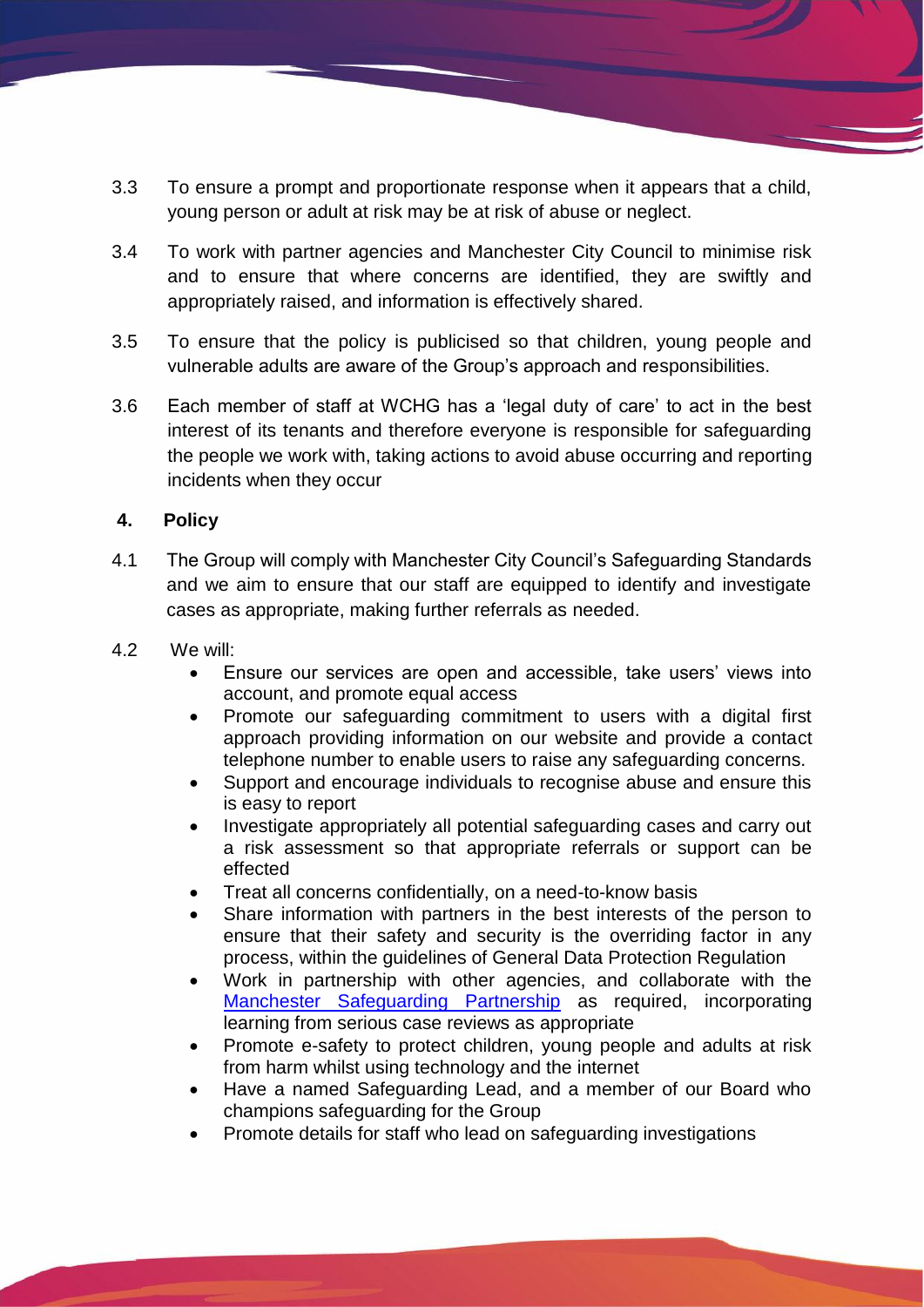- 3.3 To ensure a prompt and proportionate response when it appears that a child, young person or adult at risk may be at risk of abuse or neglect.
- 3.4 To work with partner agencies and Manchester City Council to minimise risk and to ensure that where concerns are identified, they are swiftly and appropriately raised, and information is effectively shared.
- 3.5 To ensure that the policy is publicised so that children, young people and vulnerable adults are aware of the Group's approach and responsibilities.
- 3.6 Each member of staff at WCHG has a 'legal duty of care' to act in the best interest of its tenants and therefore everyone is responsible for safeguarding the people we work with, taking actions to avoid abuse occurring and reporting incidents when they occur

#### **4. Policy**

- 4.1 The Group will comply with Manchester City Council's Safeguarding Standards and we aim to ensure that our staff are equipped to identify and investigate cases as appropriate, making further referrals as needed.
- 4.2 We will:
	- Ensure our services are open and accessible, take users' views into account, and promote equal access
	- Promote our safeguarding commitment to users with a digital first approach providing information on our website and provide a contact telephone number to enable users to raise any safeguarding concerns.
	- Support and encourage individuals to recognise abuse and ensure this is easy to report
	- Investigate appropriately all potential safeguarding cases and carry out a risk assessment so that appropriate referrals or support can be effected
	- Treat all concerns confidentially, on a need-to-know basis
	- Share information with partners in the best interests of the person to ensure that their safety and security is the overriding factor in any process, within the guidelines of General Data Protection Regulation
	- Work in partnership with other agencies, and collaborate with the [Manchester Safeguarding Partnership](https://www.manchestersafeguardingpartnership.co.uk/) as required, incorporating learning from serious case reviews as appropriate
	- Promote e-safety to protect children, young people and adults at risk from harm whilst using technology and the internet
	- Have a named Safeguarding Lead, and a member of our Board who champions safeguarding for the Group
	- Promote details for staff who lead on safeguarding investigations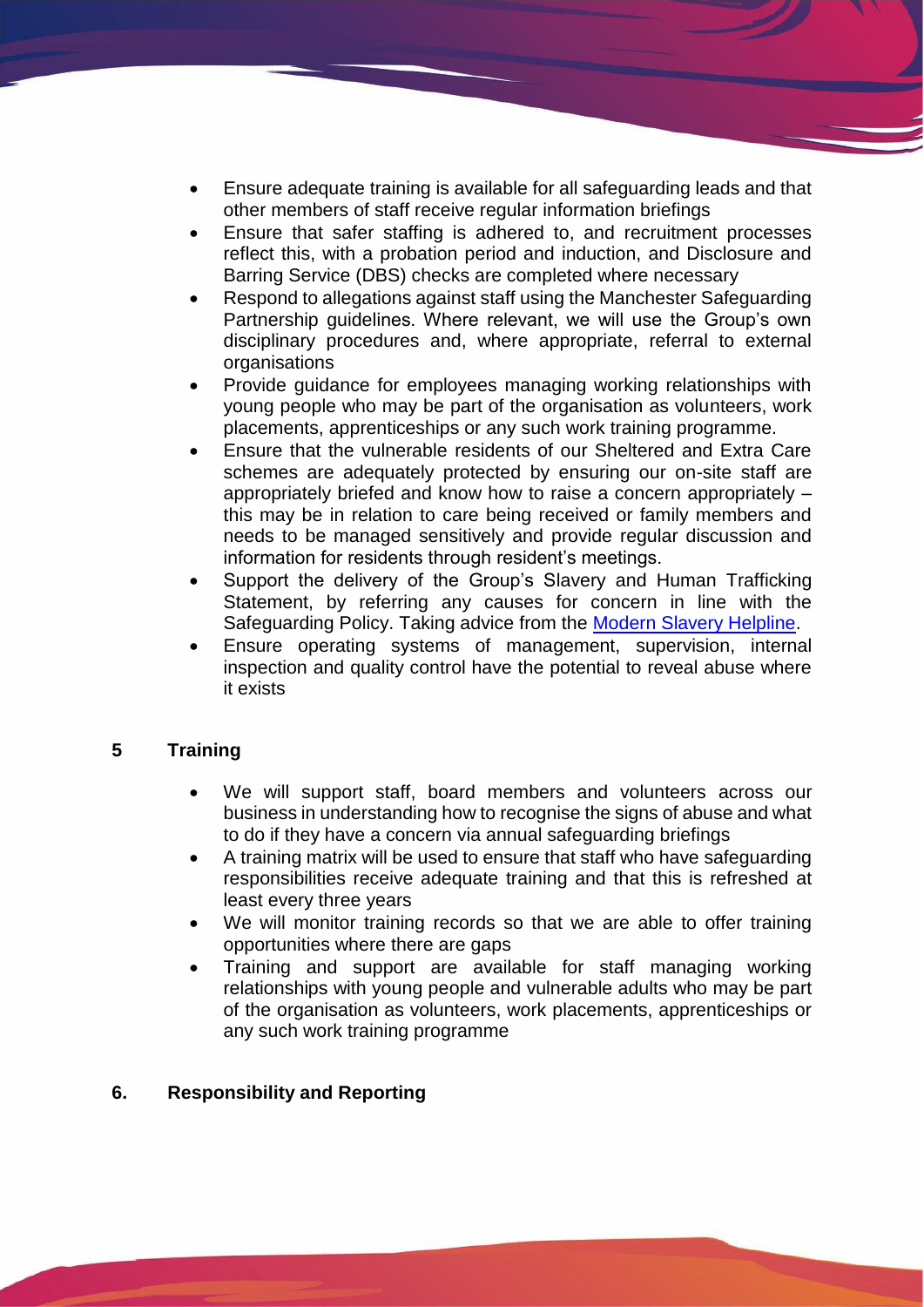- Ensure adequate training is available for all safeguarding leads and that other members of staff receive regular information briefings
- Ensure that safer staffing is adhered to, and recruitment processes reflect this, with a probation period and induction, and Disclosure and Barring Service (DBS) checks are completed where necessary
- Respond to allegations against staff using the Manchester Safeguarding Partnership guidelines. Where relevant, we will use the Group's own disciplinary procedures and, where appropriate, referral to external organisations
- Provide guidance for employees managing working relationships with young people who may be part of the organisation as volunteers, work placements, apprenticeships or any such work training programme.
- Ensure that the vulnerable residents of our Sheltered and Extra Care schemes are adequately protected by ensuring our on-site staff are appropriately briefed and know how to raise a concern appropriately – this may be in relation to care being received or family members and needs to be managed sensitively and provide regular discussion and information for residents through resident's meetings.
- Support the delivery of the Group's Slavery and Human Trafficking Statement, by referring any causes for concern in line with the Safeguarding Policy. Taking advice from the [Modern Slavery Helpline.](https://www.unseenuk.org/about-us/contact-us/)
- Ensure operating systems of management, supervision, internal inspection and quality control have the potential to reveal abuse where it exists

## **5 Training**

- We will support staff, board members and volunteers across our business in understanding how to recognise the signs of abuse and what to do if they have a concern via annual safeguarding briefings
- A training matrix will be used to ensure that staff who have safeguarding responsibilities receive adequate training and that this is refreshed at least every three years
- We will monitor training records so that we are able to offer training opportunities where there are gaps
- Training and support are available for staff managing working relationships with young people and vulnerable adults who may be part of the organisation as volunteers, work placements, apprenticeships or any such work training programme

#### **6. Responsibility and Reporting**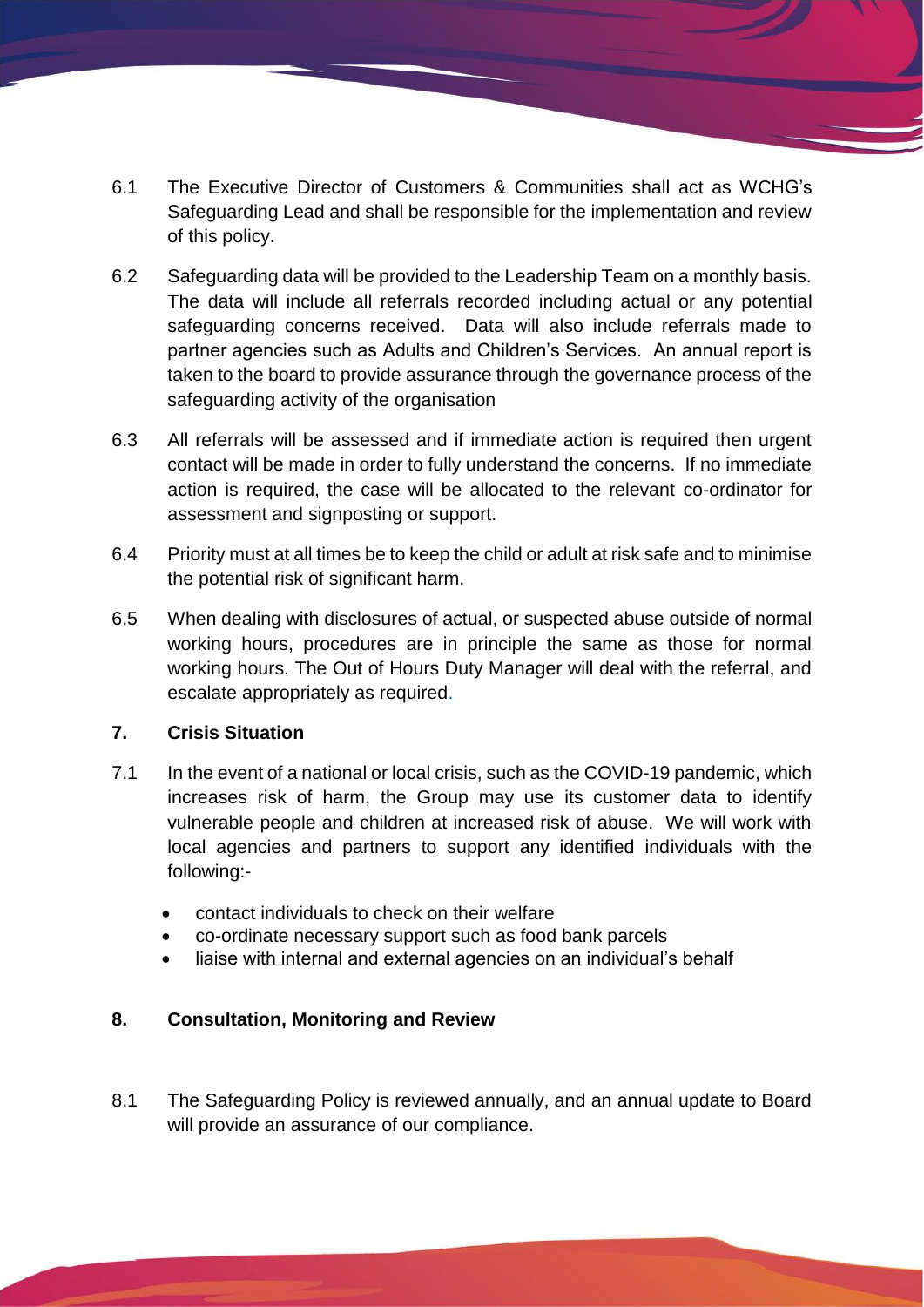- 6.1 The Executive Director of Customers & Communities shall act as WCHG's Safeguarding Lead and shall be responsible for the implementation and review of this policy.
- 6.2 Safeguarding data will be provided to the Leadership Team on a monthly basis. The data will include all referrals recorded including actual or any potential safeguarding concerns received. Data will also include referrals made to partner agencies such as Adults and Children's Services. An annual report is taken to the board to provide assurance through the governance process of the safeguarding activity of the organisation
- 6.3 All referrals will be assessed and if immediate action is required then urgent contact will be made in order to fully understand the concerns. If no immediate action is required, the case will be allocated to the relevant co-ordinator for assessment and signposting or support.
- 6.4 Priority must at all times be to keep the child or adult at risk safe and to minimise the potential risk of significant harm.
- 6.5 When dealing with disclosures of actual, or suspected abuse outside of normal working hours, procedures are in principle the same as those for normal working hours. The Out of Hours Duty Manager will deal with the referral, and escalate appropriately as required.

## **7. Crisis Situation**

- 7.1 In the event of a national or local crisis, such as the COVID-19 pandemic, which increases risk of harm, the Group may use its customer data to identify vulnerable people and children at increased risk of abuse. We will work with local agencies and partners to support any identified individuals with the following:-
	- contact individuals to check on their welfare
	- co-ordinate necessary support such as food bank parcels
	- liaise with internal and external agencies on an individual's behalf

## **8. Consultation, Monitoring and Review**

8.1 The Safeguarding Policy is reviewed annually, and an annual update to Board will provide an assurance of our compliance.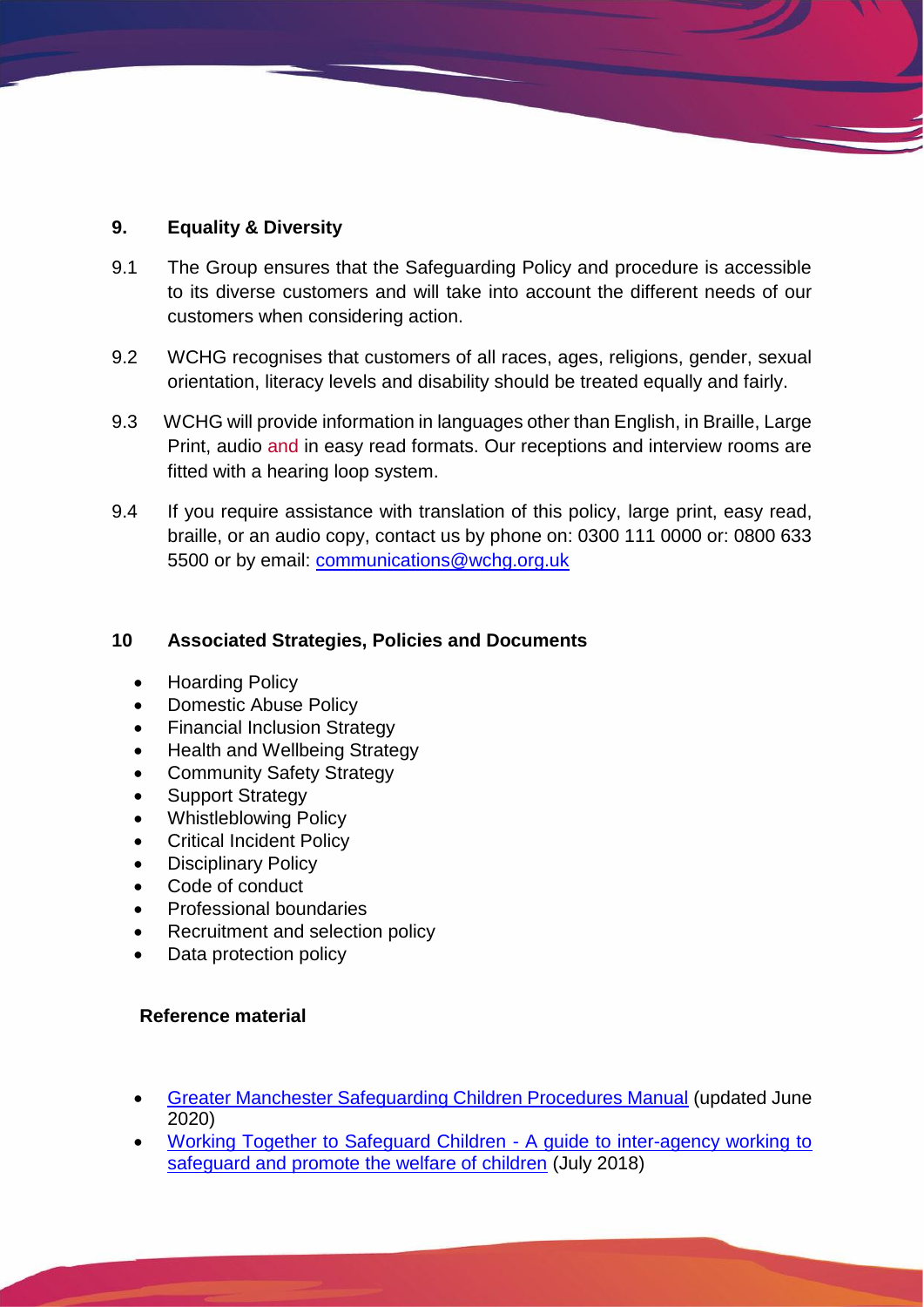## **9. Equality & Diversity**

- 9.1 The Group ensures that the Safeguarding Policy and procedure is accessible to its diverse customers and will take into account the different needs of our customers when considering action.
- 9.2 WCHG recognises that customers of all races, ages, religions, gender, sexual orientation, literacy levels and disability should be treated equally and fairly.
- 9.3 WCHG will provide information in languages other than English, in Braille, Large Print, audio and in easy read formats. Our receptions and interview rooms are fitted with a hearing loop system.
- 9.4 If you require assistance with translation of this policy, large print, easy read, braille, or an audio copy, contact us by phone on: 0300 111 0000 or: 0800 633 5500 or by email: [communications@wchg.org.uk](mailto:communications@wchg.org.uk)

### **10 Associated Strategies, Policies and Documents**

- Hoarding Policy
- Domestic Abuse Policy
- Financial Inclusion Strategy
- Health and Wellbeing Strategy
- Community Safety Strategy
- Support Strategy
- Whistleblowing Policy
- Critical Incident Policy
- Disciplinary Policy
- Code of conduct
- Professional boundaries
- Recruitment and selection policy
- Data protection policy

#### **Reference material**

- [Greater Manchester Safeguarding Children Procedures Manual](http://greatermanchesterscb.proceduresonline.com/chapters/contents.html) (updated June 2020)
- [Working Together to Safeguard Children -](https://www.gov.uk/government/publications/working-together-to-safeguard-children--2) A guide to inter-agency working to [safeguard and promote the welfare of children](https://www.gov.uk/government/publications/working-together-to-safeguard-children--2) (July 2018)